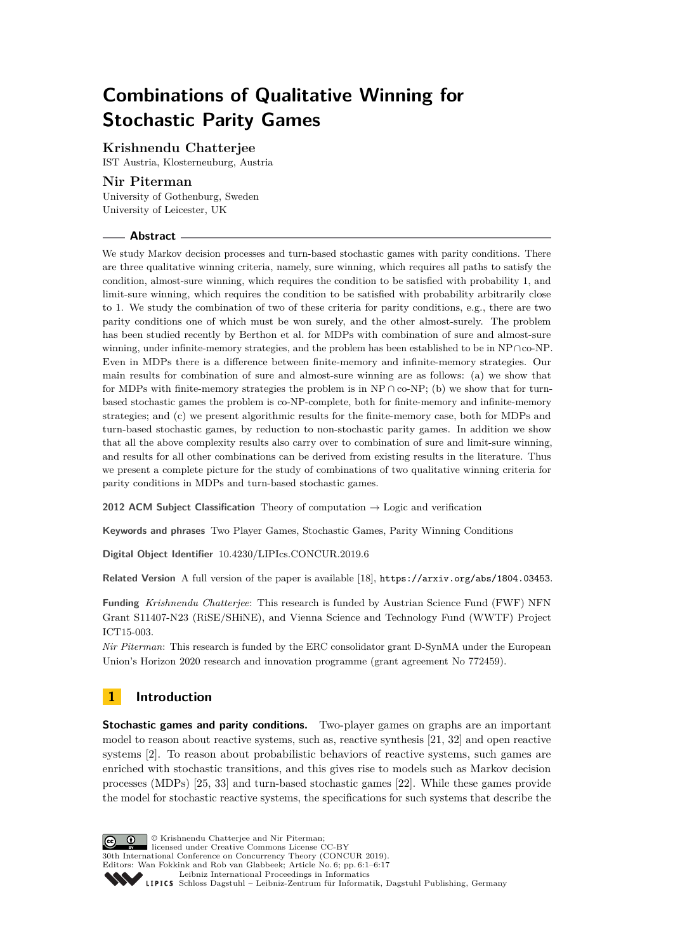# **Combinations of Qualitative Winning for Stochastic Parity Games**

## **Krishnendu Chatterjee**

IST Austria, Klosterneuburg, Austria

## **Nir Piterman**

University of Gothenburg, Sweden University of Leicester, UK

## **Abstract**

We study Markov decision processes and turn-based stochastic games with parity conditions. There are three qualitative winning criteria, namely, sure winning, which requires all paths to satisfy the condition, almost-sure winning, which requires the condition to be satisfied with probability 1, and limit-sure winning, which requires the condition to be satisfied with probability arbitrarily close to 1. We study the combination of two of these criteria for parity conditions, e.g., there are two parity conditions one of which must be won surely, and the other almost-surely. The problem has been studied recently by Berthon et al. for MDPs with combination of sure and almost-sure winning, under infinite-memory strategies, and the problem has been established to be in NP∩co-NP. Even in MDPs there is a difference between finite-memory and infinite-memory strategies. Our main results for combination of sure and almost-sure winning are as follows: (a) we show that for MDPs with finite-memory strategies the problem is in  $NP \cap co-NP$ ; (b) we show that for turnbased stochastic games the problem is co-NP-complete, both for finite-memory and infinite-memory strategies; and (c) we present algorithmic results for the finite-memory case, both for MDPs and turn-based stochastic games, by reduction to non-stochastic parity games. In addition we show that all the above complexity results also carry over to combination of sure and limit-sure winning, and results for all other combinations can be derived from existing results in the literature. Thus we present a complete picture for the study of combinations of two qualitative winning criteria for parity conditions in MDPs and turn-based stochastic games.

**2012 ACM Subject Classification** Theory of computation → Logic and verification

**Keywords and phrases** Two Player Games, Stochastic Games, Parity Winning Conditions

**Digital Object Identifier** [10.4230/LIPIcs.CONCUR.2019.6](https://doi.org/10.4230/LIPIcs.CONCUR.2019.6)

**Related Version** A full version of the paper is available [\[18\]](#page-15-0), <https://arxiv.org/abs/1804.03453>.

**Funding** *Krishnendu Chatterjee*: This research is funded by Austrian Science Fund (FWF) NFN Grant S11407-N23 (RiSE/SHiNE), and Vienna Science and Technology Fund (WWTF) Project ICT15-003.

*Nir Piterman*: This research is funded by the ERC consolidator grant D-SynMA under the European Union's Horizon 2020 research and innovation programme (grant agreement No 772459).

## **1 Introduction**

**Stochastic games and parity conditions.** Two-player games on graphs are an important model to reason about reactive systems, such as, reactive synthesis [\[21,](#page-15-1) [32\]](#page-15-2) and open reactive systems [\[2\]](#page-14-0). To reason about probabilistic behaviors of reactive systems, such games are enriched with stochastic transitions, and this gives rise to models such as Markov decision processes (MDPs) [\[25,](#page-15-3) [33\]](#page-15-4) and turn-based stochastic games [\[22\]](#page-15-5). While these games provide the model for stochastic reactive systems, the specifications for such systems that describe the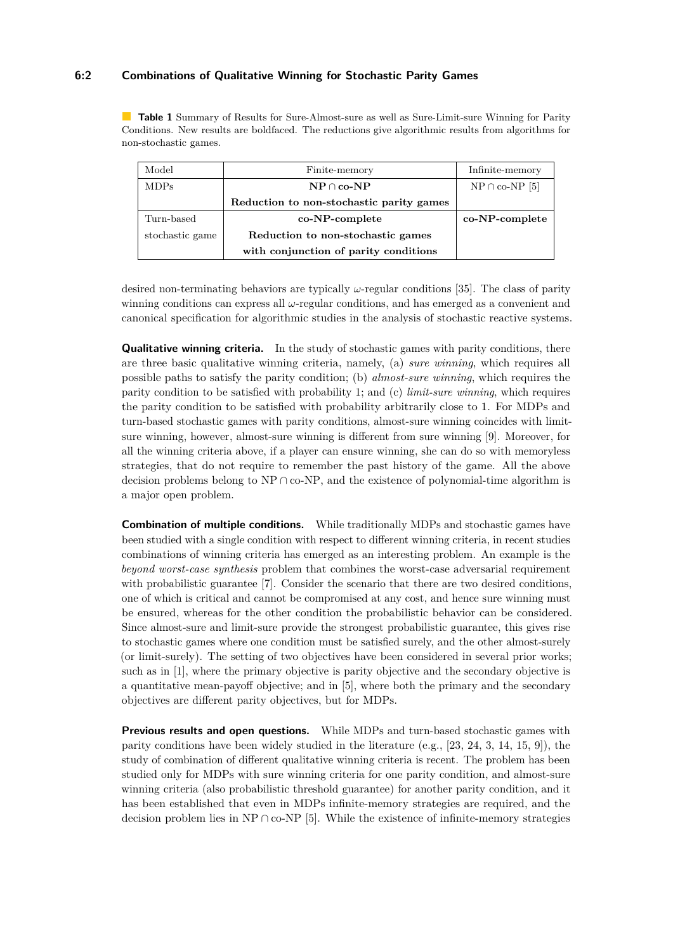## **6:2 Combinations of Qualitative Winning for Stochastic Parity Games**

<span id="page-1-0"></span>**Table 1** Summary of Results for Sure-Almost-sure as well as Sure-Limit-sure Winning for Parity Conditions. New results are boldfaced. The reductions give algorithmic results from algorithms for non-stochastic games.

| Model           | Finite-memory                                     | Infinite-memory     |
|-----------------|---------------------------------------------------|---------------------|
| <b>MDPs</b>     | $\mathbf{NP} \cap \mathbf{co}\text{-}\mathbf{NP}$ | $NP \cap co-NP$ [5] |
|                 | Reduction to non-stochastic parity games          |                     |
| Turn-based      | co-NP-complete                                    | co-NP-complete      |
| stochastic game | Reduction to non-stochastic games                 |                     |
|                 | with conjunction of parity conditions             |                     |

desired non-terminating behaviors are typically *ω*-regular conditions [\[35\]](#page-16-1). The class of parity winning conditions can express all *ω*-regular conditions, and has emerged as a convenient and canonical specification for algorithmic studies in the analysis of stochastic reactive systems.

**Qualitative winning criteria.** In the study of stochastic games with parity conditions, there are three basic qualitative winning criteria, namely, (a) *sure winning*, which requires all possible paths to satisfy the parity condition; (b) *almost-sure winning*, which requires the parity condition to be satisfied with probability 1; and (c) *limit-sure winning*, which requires the parity condition to be satisfied with probability arbitrarily close to 1. For MDPs and turn-based stochastic games with parity conditions, almost-sure winning coincides with limitsure winning, however, almost-sure winning is different from sure winning [\[9\]](#page-14-2). Moreover, for all the winning criteria above, if a player can ensure winning, she can do so with memoryless strategies, that do not require to remember the past history of the game. All the above decision problems belong to NP ∩ co-NP, and the existence of polynomial-time algorithm is a major open problem.

**Combination of multiple conditions.** While traditionally MDPs and stochastic games have been studied with a single condition with respect to different winning criteria, in recent studies combinations of winning criteria has emerged as an interesting problem. An example is the *beyond worst-case synthesis* problem that combines the worst-case adversarial requirement with probabilistic guarantee [\[7\]](#page-14-3). Consider the scenario that there are two desired conditions, one of which is critical and cannot be compromised at any cost, and hence sure winning must be ensured, whereas for the other condition the probabilistic behavior can be considered. Since almost-sure and limit-sure provide the strongest probabilistic guarantee, this gives rise to stochastic games where one condition must be satisfied surely, and the other almost-surely (or limit-surely). The setting of two objectives have been considered in several prior works; such as in [\[1\]](#page-14-4), where the primary objective is parity objective and the secondary objective is a quantitative mean-payoff objective; and in [\[5\]](#page-14-1), where both the primary and the secondary objectives are different parity objectives, but for MDPs.

**Previous results and open questions.** While MDPs and turn-based stochastic games with parity conditions have been widely studied in the literature (e.g.,  $[23, 24, 3, 14, 15, 9]$  $[23, 24, 3, 14, 15, 9]$  $[23, 24, 3, 14, 15, 9]$  $[23, 24, 3, 14, 15, 9]$  $[23, 24, 3, 14, 15, 9]$  $[23, 24, 3, 14, 15, 9]$ ), the study of combination of different qualitative winning criteria is recent. The problem has been studied only for MDPs with sure winning criteria for one parity condition, and almost-sure winning criteria (also probabilistic threshold guarantee) for another parity condition, and it has been established that even in MDPs infinite-memory strategies are required, and the decision problem lies in NP ∩ co-NP [\[5\]](#page-14-1). While the existence of infinite-memory strategies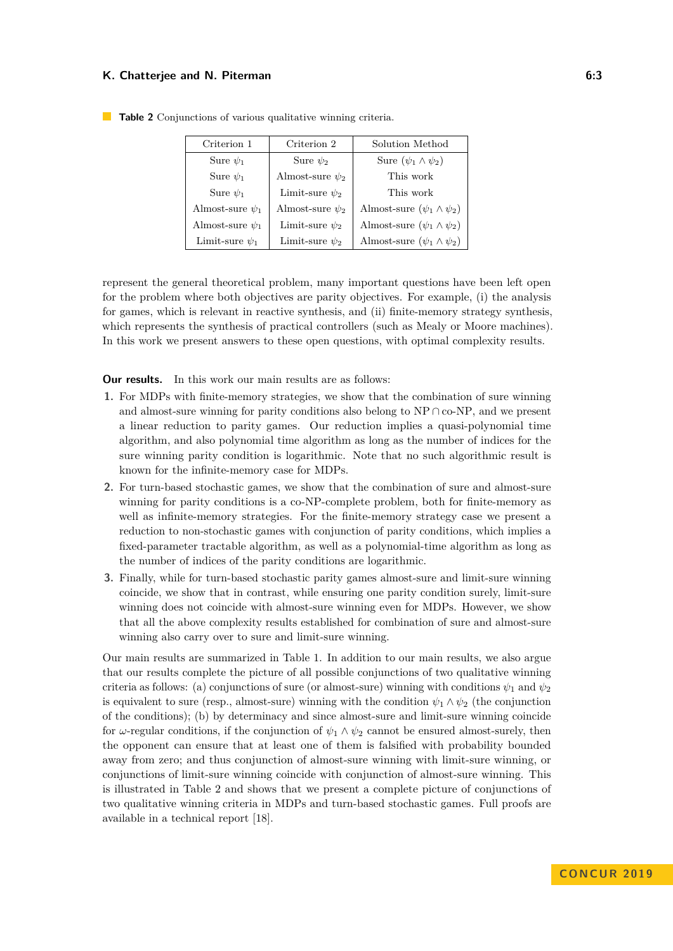| Criterion 1          | Criterion 2          | Solution Method                      |  |  |
|----------------------|----------------------|--------------------------------------|--|--|
| Sure $\psi_1$        | Sure $\psi_2$        | Sure $(\psi_1 \wedge \psi_2)$        |  |  |
| Sure $\psi_1$        | Almost-sure $\psi_2$ | This work                            |  |  |
| Sure $\psi_1$        | Limit-sure $\psi_2$  | This work                            |  |  |
| Almost-sure $\psi_1$ | Almost-sure $\psi_2$ | Almost-sure $(\psi_1 \wedge \psi_2)$ |  |  |
| Almost-sure $\psi_1$ | Limit-sure $\psi_2$  | Almost-sure $(\psi_1 \wedge \psi_2)$ |  |  |
| Limit-sure $\psi_1$  | Limit-sure $\psi_2$  | Almost-sure $(\psi_1 \wedge \psi_2)$ |  |  |

<span id="page-2-0"></span>**Table 2** Conjunctions of various qualitative winning criteria.

represent the general theoretical problem, many important questions have been left open for the problem where both objectives are parity objectives. For example, (i) the analysis for games, which is relevant in reactive synthesis, and (ii) finite-memory strategy synthesis, which represents the synthesis of practical controllers (such as Mealy or Moore machines). In this work we present answers to these open questions, with optimal complexity results.

**Our results.** In this work our main results are as follows:

- **1.** For MDPs with finite-memory strategies, we show that the combination of sure winning and almost-sure winning for parity conditions also belong to  $NP \cap co-NP$ , and we present a linear reduction to parity games. Our reduction implies a quasi-polynomial time algorithm, and also polynomial time algorithm as long as the number of indices for the sure winning parity condition is logarithmic. Note that no such algorithmic result is known for the infinite-memory case for MDPs.
- **2.** For turn-based stochastic games, we show that the combination of sure and almost-sure winning for parity conditions is a co-NP-complete problem, both for finite-memory as well as infinite-memory strategies. For the finite-memory strategy case we present a reduction to non-stochastic games with conjunction of parity conditions, which implies a fixed-parameter tractable algorithm, as well as a polynomial-time algorithm as long as the number of indices of the parity conditions are logarithmic.
- **3.** Finally, while for turn-based stochastic parity games almost-sure and limit-sure winning coincide, we show that in contrast, while ensuring one parity condition surely, limit-sure winning does not coincide with almost-sure winning even for MDPs. However, we show that all the above complexity results established for combination of sure and almost-sure winning also carry over to sure and limit-sure winning.

Our main results are summarized in Table [1.](#page-1-0) In addition to our main results, we also argue that our results complete the picture of all possible conjunctions of two qualitative winning criteria as follows: (a) conjunctions of sure (or almost-sure) winning with conditions  $\psi_1$  and  $\psi_2$ is equivalent to sure (resp., almost-sure) winning with the condition  $\psi_1 \wedge \psi_2$  (the conjunction of the conditions); (b) by determinacy and since almost-sure and limit-sure winning coincide for *ω*-regular conditions, if the conjunction of  $\psi_1 \wedge \psi_2$  cannot be ensured almost-surely, then the opponent can ensure that at least one of them is falsified with probability bounded away from zero; and thus conjunction of almost-sure winning with limit-sure winning, or conjunctions of limit-sure winning coincide with conjunction of almost-sure winning. This is illustrated in Table [2](#page-2-0) and shows that we present a complete picture of conjunctions of two qualitative winning criteria in MDPs and turn-based stochastic games. Full proofs are available in a technical report [\[18\]](#page-15-0).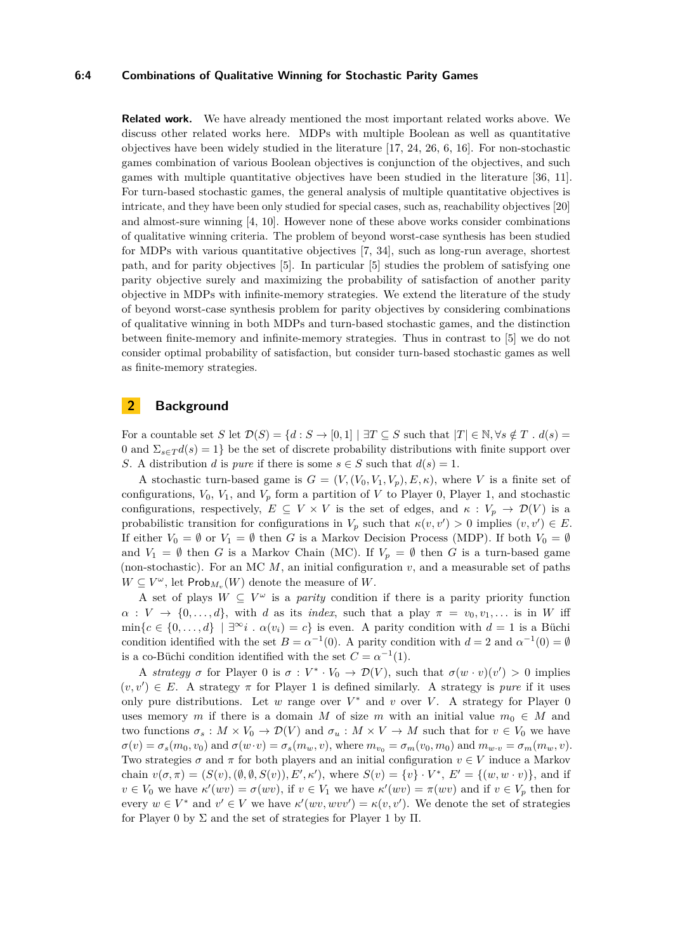#### **6:4 Combinations of Qualitative Winning for Stochastic Parity Games**

**Related work.** We have already mentioned the most important related works above. We discuss other related works here. MDPs with multiple Boolean as well as quantitative objectives have been widely studied in the literature [\[17,](#page-15-10) [24,](#page-15-7) [26,](#page-15-11) [6,](#page-14-6) [16\]](#page-15-12). For non-stochastic games combination of various Boolean objectives is conjunction of the objectives, and such games with multiple quantitative objectives have been studied in the literature [\[36,](#page-16-2) [11\]](#page-14-7). For turn-based stochastic games, the general analysis of multiple quantitative objectives is intricate, and they have been only studied for special cases, such as, reachability objectives [\[20\]](#page-15-13) and almost-sure winning [\[4,](#page-14-8) [10\]](#page-14-9). However none of these above works consider combinations of qualitative winning criteria. The problem of beyond worst-case synthesis has been studied for MDPs with various quantitative objectives [\[7,](#page-14-3) [34\]](#page-15-14), such as long-run average, shortest path, and for parity objectives [\[5\]](#page-14-1). In particular [\[5\]](#page-14-1) studies the problem of satisfying one parity objective surely and maximizing the probability of satisfaction of another parity objective in MDPs with infinite-memory strategies. We extend the literature of the study of beyond worst-case synthesis problem for parity objectives by considering combinations of qualitative winning in both MDPs and turn-based stochastic games, and the distinction between finite-memory and infinite-memory strategies. Thus in contrast to [\[5\]](#page-14-1) we do not consider optimal probability of satisfaction, but consider turn-based stochastic games as well as finite-memory strategies.

## **2 Background**

For a countable set *S* let  $\mathcal{D}(S) = \{d : S \to [0,1] \mid \exists T \subseteq S \text{ such that } |T| \in \mathbb{N}, \forall s \notin T \text{ . } d(s) =$ 0 and  $\Sigma_{s\in\mathcal{T}}d(s)=1$ } be the set of discrete probability distributions with finite support over *S*. A distribution *d* is *pure* if there is some  $s \in S$  such that  $d(s) = 1$ .

A stochastic turn-based game is  $G = (V, (V_0, V_1, V_p), E, \kappa)$ , where V is a finite set of configurations,  $V_0$ ,  $V_1$ , and  $V_p$  form a partition of V to Player 0, Player 1, and stochastic configurations, respectively,  $E \subseteq V \times V$  is the set of edges, and  $\kappa : V_p \to \mathcal{D}(V)$  is a probabilistic transition for configurations in  $V_p$  such that  $\kappa(v, v') > 0$  implies  $(v, v') \in E$ . If either  $V_0 = \emptyset$  or  $V_1 = \emptyset$  then *G* is a Markov Decision Process (MDP). If both  $V_0 = \emptyset$ and  $V_1 = \emptyset$  then *G* is a Markov Chain (MC). If  $V_p = \emptyset$  then *G* is a turn-based game (non-stochastic). For an MC  $M$ , an initial configuration  $v$ , and a measurable set of paths  $W \subseteq V^{\omega}$ , let  $\mathsf{Prob}_{M_v}(W)$  denote the measure of *W*.

A set of plays  $W \subseteq V^{\omega}$  is a *parity* condition if there is a parity priority function  $\alpha: V \to \{0, \ldots, d\}$ , with *d* as its *index*, such that a play  $\pi = v_0, v_1, \ldots$  is in *W* iff  $\min\{c \in \{0, \ldots, d\} \mid \exists^{\infty} i \cdot \alpha(v_i) = c\}$  is even. A parity condition with  $d = 1$  is a Büchi condition identified with the set  $B = \alpha^{-1}(0)$ . A parity condition with  $d = 2$  and  $\alpha^{-1}(0) = \emptyset$ is a co-Büchi condition identified with the set  $C = \alpha^{-1}(1)$ .

A *strategy*  $\sigma$  for Player 0 is  $\sigma: V^* \cdot V_0 \to \mathcal{D}(V)$ , such that  $\sigma(w \cdot v)(v') > 0$  implies  $(v, v') \in E$ . A strategy  $\pi$  for Player 1 is defined similarly. A strategy is *pure* if it uses only pure distributions. Let  $w$  range over  $V^*$  and  $v$  over  $V$ . A strategy for Player 0 uses memory *m* if there is a domain *M* of size *m* with an initial value  $m_0 \in M$  and two functions  $\sigma_s : M \times V_0 \to \mathcal{D}(V)$  and  $\sigma_u : M \times V \to M$  such that for  $v \in V_0$  we have  $\sigma(v) = \sigma_s(m_0, v_0)$  and  $\sigma(w \cdot v) = \sigma_s(m_w, v)$ , where  $m_{v_0} = \sigma_m(v_0, m_0)$  and  $m_{w \cdot v} = \sigma_m(m_w, v)$ . Two strategies  $\sigma$  and  $\pi$  for both players and an initial configuration  $v \in V$  induce a Markov chain  $v(\sigma, \pi) = (S(v), (\emptyset, \emptyset, S(v)), E', \kappa')$ , where  $S(v) = \{v\} \cdot V^*, E' = \{(w, w \cdot v)\}$ , and if  $v \in V_0$  we have  $\kappa'(wv) = \sigma(wv)$ , if  $v \in V_1$  we have  $\kappa'(wv) = \pi(wv)$  and if  $v \in V_p$  then for every  $w \in V^*$  and  $v' \in V$  we have  $\kappa'(wv, wvv') = \kappa(v, v')$ . We denote the set of strategies for Player 0 by  $\Sigma$  and the set of strategies for Player 1 by  $\Pi$ .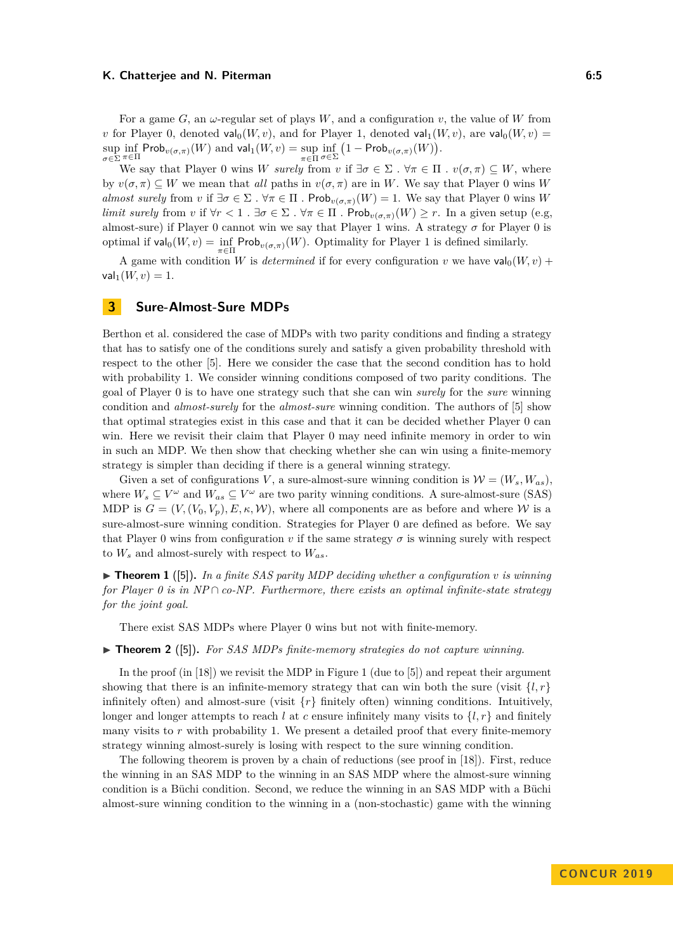For a game *G*, an *ω*-regular set of plays *W*, and a configuration *v*, the value of *W* from *v* for Player 0, denoted  $\mathsf{val}_0(W, v)$ , and for Player 1, denoted  $\mathsf{val}_1(W, v)$ , are  $\mathsf{val}_0(W, v)$  =  $\sup_{\sigma \in \Sigma} \inf_{\pi \in \Pi} \mathsf{Prob}_{v(\sigma,\pi)}(W)$  and  $\mathsf{val}_1(W,v) = \sup_{\pi \in \Pi} \inf_{\sigma \in \Sigma} \left(1 - \mathsf{Prob}_{v(\sigma,\pi)}(W)\right).$ 

We say that Player 0 wins *W surely* from *v* if  $\exists \sigma \in \Sigma$ .  $\forall \pi \in \Pi$  *.*  $v(\sigma, \pi) \subseteq W$ , where by  $v(\sigma, \pi) \subseteq W$  we mean that *all* paths in  $v(\sigma, \pi)$  are in *W*. We say that Player 0 wins *W almost surely* from *v* if  $\exists \sigma \in \Sigma$ .  $\forall \pi \in \Pi$ . Prob<sub>*v*( $\sigma, \pi$ )</sub>(*W*) = 1. We say that Player 0 wins *W limit surely* from *v* if  $\forall r < 1$ .  $\exists \sigma \in \Sigma$ .  $\forall \pi \in \Pi$ . Prob $v(\sigma, \pi)(W) \geq r$ . In a given setup (e.g. almost-sure) if Player 0 cannot win we say that Player 1 wins. A strategy *σ* for Player 0 is optimal if  $\text{val}_0(W, v) = \inf_{\pi \in \Pi} \text{Prob}_{v(\sigma, \pi)}(W)$ . Optimality for Player 1 is defined similarly.

A game with condition *W* is *determined* if for every configuration *v* we have  $\mathsf{val}_0(W, v)$  +  $val_1(W, v) = 1.$ 

## **3 Sure-Almost-Sure MDPs**

Berthon et al. considered the case of MDPs with two parity conditions and finding a strategy that has to satisfy one of the conditions surely and satisfy a given probability threshold with respect to the other [\[5\]](#page-14-1). Here we consider the case that the second condition has to hold with probability 1. We consider winning conditions composed of two parity conditions. The goal of Player 0 is to have one strategy such that she can win *surely* for the *sure* winning condition and *almost-surely* for the *almost-sure* winning condition. The authors of [\[5\]](#page-14-1) show that optimal strategies exist in this case and that it can be decided whether Player 0 can win. Here we revisit their claim that Player 0 may need infinite memory in order to win in such an MDP. We then show that checking whether she can win using a finite-memory strategy is simpler than deciding if there is a general winning strategy.

Given a set of configurations *V*, a sure-almost-sure winning condition is  $\mathcal{W} = (W_s, W_{as})$ . where  $W_s \subseteq V^\omega$  and  $W_{as} \subseteq V^\omega$  are two parity winning conditions. A sure-almost-sure (SAS) MDP is  $G = (V, (V_0, V_p), E, \kappa, \mathcal{W})$ , where all components are as before and where W is a sure-almost-sure winning condition. Strategies for Player 0 are defined as before. We say that Player 0 wins from configuration *v* if the same strategy  $\sigma$  is winning surely with respect to  $W_s$  and almost-surely with respect to  $W_{as}$ .

<span id="page-4-0"></span> $\triangleright$  **Theorem 1** ([\[5\]](#page-14-1)). In a finite SAS parity MDP deciding whether a configuration v is winning *for Player 0 is in NP*  $\cap$  *co-NP. Furthermore, there exists an optimal infinite-state strategy for the joint goal.*

There exist SAS MDPs where Player 0 wins but not with finite-memory.

 $\triangleright$  **Theorem 2** ([\[5\]](#page-14-1)). For SAS MDPs finite-memory strategies do not capture winning.

In the proof (in [\[18\]](#page-15-0)) we revisit the MDP in Figure [1](#page-5-0) (due to [\[5\]](#page-14-1)) and repeat their argument showing that there is an infinite-memory strategy that can win both the sure (visit  $\{l, r\}$ ) infinitely often) and almost-sure (visit  $\{r\}$  finitely often) winning conditions. Intuitively, longer and longer attempts to reach *l* at *c* ensure infinitely many visits to  $\{l, r\}$  and finitely many visits to r with probability 1. We present a detailed proof that every finite-memory strategy winning almost-surely is losing with respect to the sure winning condition.

The following theorem is proven by a chain of reductions (see proof in [\[18\]](#page-15-0)). First, reduce the winning in an SAS MDP to the winning in an SAS MDP where the almost-sure winning condition is a Büchi condition. Second, we reduce the winning in an SAS MDP with a Büchi almost-sure winning condition to the winning in a (non-stochastic) game with the winning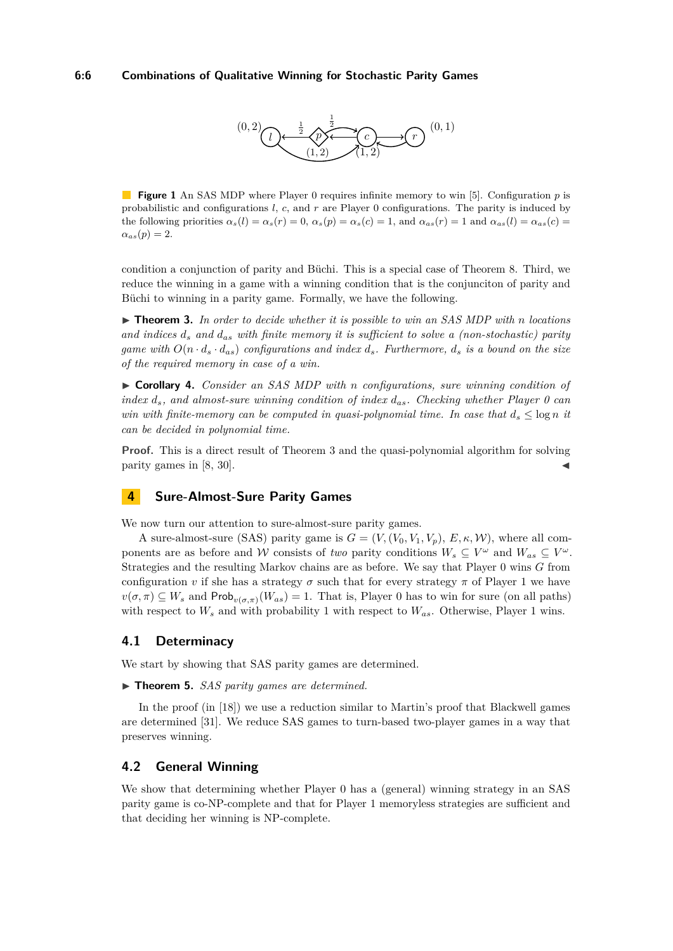

<span id="page-5-0"></span>**Figure 1** An SAS MDP where Player 0 requires infinite memory to win [\[5\]](#page-14-1). Configuration *p* is probabilistic and configurations *l*, *c*, and *r* are Player 0 configurations. The parity is induced by the following priorities  $\alpha_s(l) = \alpha_s(r) = 0$ ,  $\alpha_s(p) = \alpha_s(c) = 1$ , and  $\alpha_{as}(r) = 1$  and  $\alpha_{as}(l) = \alpha_{as}(c) = 1$  $\alpha_{as}(p) = 2.$ 

condition a conjunction of parity and Büchi. This is a special case of Theorem [8.](#page-6-0) Third, we reduce the winning in a game with a winning condition that is the conjunciton of parity and Büchi to winning in a parity game. Formally, we have the following.

<span id="page-5-1"></span>▶ **Theorem 3.** In order to decide whether it is possible to win an SAS MDP with *n* locations *and indices d<sup>s</sup> and das with finite memory it is sufficient to solve a (non-stochastic) parity game with*  $O(n \cdot d_s \cdot d_{as})$  *configurations and index*  $d_s$ *. Furthermore,*  $d_s$  *is a bound on the size of the required memory in case of a win.*

I **Corollary 4.** *Consider an SAS MDP with n configurations, sure winning condition of index ds, and almost-sure winning condition of index das. Checking whether Player 0 can win with finite-memory can be computed in quasi-polynomial time. In case that*  $d_s \leq \log n$  *it can be decided in polynomial time.*

**Proof.** This is a direct result of Theorem [3](#page-5-1) and the quasi-polynomial algorithm for solving parity games in  $[8, 30]$  $[8, 30]$ .

## **4 Sure-Almost-Sure Parity Games**

We now turn our attention to sure-almost-sure parity games.

A sure-almost-sure (SAS) parity game is  $G = (V, (V_0, V_1, V_p), E, \kappa, W)$ , where all components are as before and W consists of *two* parity conditions  $W_s \subseteq V^\omega$  and  $W_{as} \subseteq V^\omega$ . Strategies and the resulting Markov chains are as before. We say that Player 0 wins *G* from configuration *v* if she has a strategy  $\sigma$  such that for every strategy  $\pi$  of Player 1 we have  $v(\sigma, \pi) \subseteq W_s$  and  $\mathsf{Prob}_{v(\sigma, \pi)}(W_{as}) = 1$ . That is, Player 0 has to win for sure (on all paths) with respect to *W<sup>s</sup>* and with probability 1 with respect to *Was*. Otherwise, Player 1 wins.

## **4.1 Determinacy**

We start by showing that SAS parity games are determined.

▶ **Theorem 5.** *SAS parity games are determined.* 

In the proof (in [\[18\]](#page-15-0)) we use a reduction similar to Martin's proof that Blackwell games are determined [\[31\]](#page-15-16). We reduce SAS games to turn-based two-player games in a way that preserves winning.

## **4.2 General Winning**

We show that determining whether Player 0 has a (general) winning strategy in an SAS parity game is co-NP-complete and that for Player 1 memoryless strategies are sufficient and that deciding her winning is NP-complete.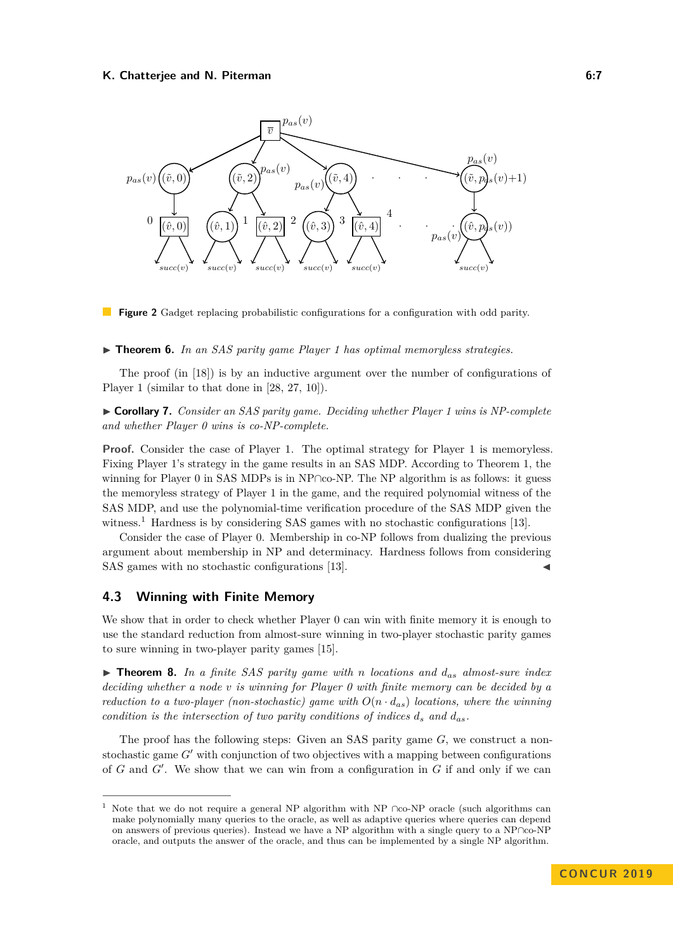<span id="page-6-2"></span>

**Figure 2** Gadget replacing probabilistic configurations for a configuration with odd parity.

#### <span id="page-6-4"></span>▶ **Theorem 6.** *In an SAS parity game Player 1 has optimal memoryless strategies.*

The proof (in [\[18\]](#page-15-0)) is by an inductive argument over the number of configurations of Player 1 (similar to that done in [\[28,](#page-15-17) [27,](#page-15-18) [10\]](#page-14-9)).

<span id="page-6-3"></span>I **Corollary 7.** *Consider an SAS parity game. Deciding whether Player 1 wins is NP-complete and whether Player 0 wins is co-NP-complete.*

**Proof.** Consider the case of Player 1. The optimal strategy for Player 1 is memoryless. Fixing Player 1's strategy in the game results in an SAS MDP. According to Theorem [1,](#page-4-0) the winning for Player 0 in SAS MDPs is in NP∩co-NP. The NP algorithm is as follows: it guess the memoryless strategy of Player 1 in the game, and the required polynomial witness of the SAS MDP, and use the polynomial-time verification procedure of the SAS MDP given the witness.<sup>[1](#page-6-1)</sup> Hardness is by considering SAS games with no stochastic configurations [\[13\]](#page-14-11).

Consider the case of Player 0. Membership in co-NP follows from dualizing the previous argument about membership in NP and determinacy. Hardness follows from considering SAS games with no stochastic configurations [\[13\]](#page-14-11).

## **4.3 Winning with Finite Memory**

We show that in order to check whether Player 0 can win with finite memory it is enough to use the standard reduction from almost-sure winning in two-player stochastic parity games to sure winning in two-player parity games [\[15\]](#page-15-9).

<span id="page-6-0"></span>I **Theorem 8.** *In a finite SAS parity game with n locations and das almost-sure index deciding whether a node v is winning for Player 0 with finite memory can be decided by a reduction to a two-player (non-stochastic) game with*  $O(n \cdot d_{as})$  *locations, where the winning condition is the intersection of two parity conditions of indices*  $d_s$  and  $d_{as}$ .

The proof has the following steps: Given an SAS parity game *G*, we construct a nonstochastic game  $G'$  with conjunction of two objectives with a mapping between configurations of  $G$  and  $G'$ . We show that we can win from a configuration in  $G$  if and only if we can

<span id="page-6-1"></span>Note that we do not require a general NP algorithm with NP ∩co-NP oracle (such algorithms can make polynomially many queries to the oracle, as well as adaptive queries where queries can depend on answers of previous queries). Instead we have a NP algorithm with a single query to a NP∩co-NP oracle, and outputs the answer of the oracle, and thus can be implemented by a single NP algorithm.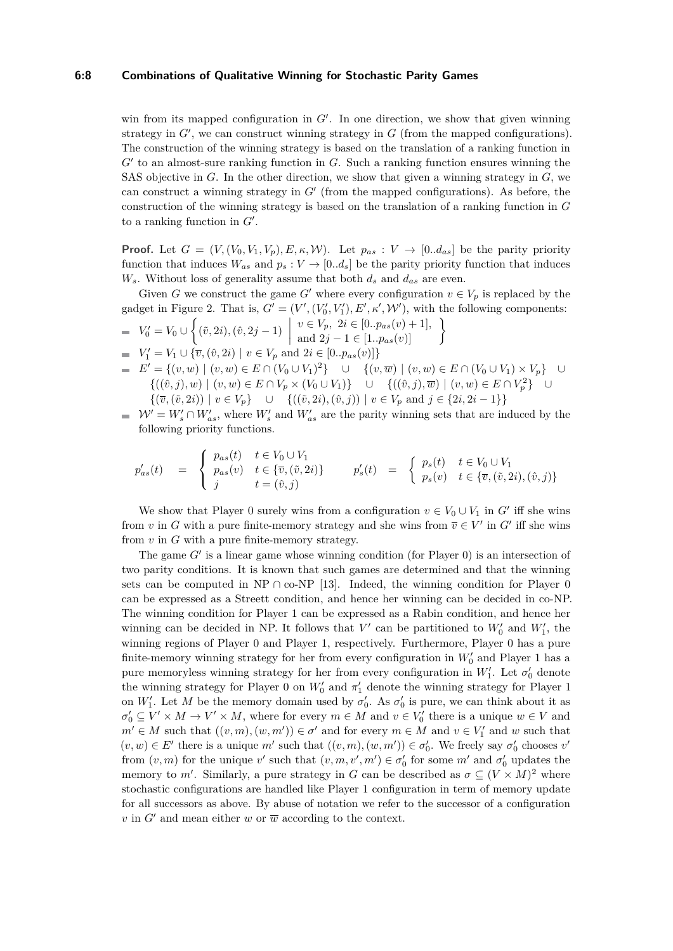#### **6:8 Combinations of Qualitative Winning for Stochastic Parity Games**

win from its mapped configuration in  $G'$ . In one direction, we show that given winning strategy in  $G'$ , we can construct winning strategy in  $G$  (from the mapped configurations). The construction of the winning strategy is based on the translation of a ranking function in  $G'$  to an almost-sure ranking function in  $G$ . Such a ranking function ensures winning the SAS objective in *G*. In the other direction, we show that given a winning strategy in *G*, we can construct a winning strategy in  $G'$  (from the mapped configurations). As before, the construction of the winning strategy is based on the translation of a ranking function in *G* to a ranking function in  $G'$ .

**Proof.** Let  $G = (V, (V_0, V_1, V_p), E, \kappa, W)$ . Let  $p_{as} : V \to [0..d_{as}]$  be the parity priority function that induces  $W_{as}$  and  $p_s: V \to [0..d_s]$  be the parity priority function that induces  $W_s$ . Without loss of generality assume that both  $d_s$  and  $d_{as}$  are even.

Given *G* we construct the game *G*<sup> $\prime$ </sup> where every configuration  $v \in V_p$  is replaced by the gadget in Figure [2.](#page-6-2) That is,  $G' = (V', (V'_0, V'_1), E', \kappa', \mathcal{W}'),$  with the following components:  $V'_0 = V_0 \cup \left\{ (\tilde{v}, 2i), (\hat{v}, 2j - 1) \right\}$  $v \in V_p, 2i \in [0..p_{as}(v) + 1],$ <br>
and  $2j - 1 \in [1..p_{as}(v)]$  $V'_1 = V_1 \cup {\overline{v}, (\hat{v}, 2i) \mid v \in V_p \text{ and } 2i \in [0..p_{as}(v)]}$ *E*<sup> $′$ </sup> = {(*v, w*) | (*v, w*) ∈ *E* ∩ (*V*<sub>0</sub> ∪ *V*<sub>1</sub>)<sup>2</sup>} ∪ {(*v, w*) | (*v, w*) ∈ *E* ∩ (*V*<sub>0</sub> ∪ *V*<sub>1</sub>) × *V*<sub>*p*</sub>} ∪  ${((\hat{v},j), w) | (v, w) ∈ E ∩ V_p × (V_0 ∪ V_1)}$  ∪  ${((\hat{v},j), \overline{w}) | (v, w) ∈ E ∩ V_p^2}$  ∪

- { $(\overline{v},(\tilde{v},2i)) | v ∈ V_p$ } ∪ { $((\tilde{v},2i),(\hat{v},j)) | v ∈ V_p$  and  $j ∈ {2i, 2i-1}$ }  $W' = W'_{s} \cap W'_{as}$ , where  $W'_{s}$  and  $W'_{as}$  are the parity winning sets that are induced by the
	- following priority functions.

$$
p'_{as}(t) = \begin{cases} p_{as}(t) & t \in V_0 \cup V_1 \\ p_{as}(v) & t \in \{\overline{v}, (\tilde{v}, 2i)\} \\ j & t = (\hat{v}, j) \end{cases} \qquad p'_s(t) = \begin{cases} p_s(t) & t \in V_0 \cup V_1 \\ p_s(v) & t \in \{\overline{v}, (\tilde{v}, 2i), (\hat{v}, j)\} \end{cases}
$$

We show that Player 0 surely wins from a configuration  $v \in V_0 \cup V_1$  in  $G'$  iff she wins from *v* in *G* with a pure finite-memory strategy and she wins from  $\overline{v} \in V'$  in *G*<sup> $\prime$ </sup> iff she wins from *v* in *G* with a pure finite-memory strategy.

The game  $G'$  is a linear game whose winning condition (for Player  $0$ ) is an intersection of two parity conditions. It is known that such games are determined and that the winning sets can be computed in NP ∩ co-NP [\[13\]](#page-14-11). Indeed, the winning condition for Player 0 can be expressed as a Streett condition, and hence her winning can be decided in co-NP. The winning condition for Player 1 can be expressed as a Rabin condition, and hence her winning can be decided in NP. It follows that  $V'$  can be partitioned to  $W'_0$  and  $W'_1$ , the winning regions of Player 0 and Player 1, respectively. Furthermore, Player 0 has a pure finite-memory winning strategy for her from every configuration in  $W'_0$  and Player 1 has a pure memoryless winning strategy for her from every configuration in  $W_1'$ . Let  $\sigma_0'$  denote the winning strategy for Player 0 on  $W_0'$  and  $\pi'_1$  denote the winning strategy for Player 1 on *W*<sup>1</sup>. Let *M* be the memory domain used by  $\sigma_0'$ . As  $\sigma_0'$  is pure, we can think about it as  $\sigma'_0 \subseteq V' \times M \to V' \times M$ , where for every  $m \in M$  and  $v \in V'_0$  there is a unique  $w \in V$  and  $m' \in M$  such that  $((v, m), (w, m')) \in \sigma'$  and for every  $m \in M$  and  $v \in V'_1$  and  $w$  such that  $(v, w) \in E'$  there is a unique  $m'$  such that  $((v, m), (w, m')) \in \sigma'_0$ . We freely say  $\sigma'_0$  chooses  $v'$ from  $(v, m)$  for the unique *v*' such that  $(v, m, v', m') \in \sigma_0'$  for some  $m'$  and  $\sigma_0'$  updates the memory to *m'*. Similarly, a pure strategy in *G* can be described as  $\sigma \subseteq (V \times M)^2$  where stochastic configurations are handled like Player 1 configuration in term of memory update for all successors as above. By abuse of notation we refer to the successor of a configuration *v* in  $G'$  and mean either *w* or  $\overline{w}$  according to the context.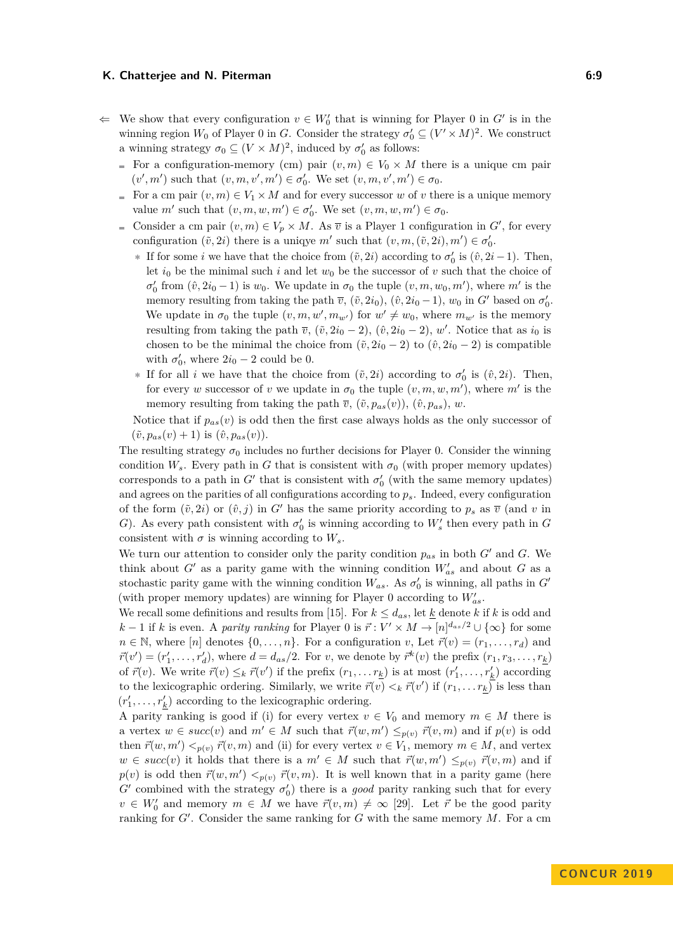- $\Leftarrow$  We show that every configuration  $v \in W'_0$  that is winning for Player 0 in *G*<sup>*i*</sup> is in the winning region  $W_0$  of Player 0 in *G*. Consider the strategy  $\sigma'_0 \subseteq (V' \times M)^2$ . We construct a winning strategy  $\sigma_0 \subseteq (V \times M)^2$ , induced by  $\sigma'_0$  as follows:
	- For a configuration-memory (cm) pair  $(v, m) \in V_0 \times M$  there is a unique cm pair  $(v', m')$  such that  $(v, m, v', m') \in \sigma_0'$ . We set  $(v, m, v', m') \in \sigma_0$ .
	- For a cm pair  $(v, m) \in V_1 \times M$  and for every successor *w* of *v* there is a unique memory value  $m'$  such that  $(v, m, w, m') \in \sigma'_0$ . We set  $(v, m, w, m') \in \sigma_0$ .
	- Consider a cm pair  $(v, m) \in V_p \times M$ . As  $\overline{v}$  is a Player 1 configuration in  $G'$ , for every configuration  $(\tilde{v}, 2i)$  there is a uniqye  $m'$  such that  $(v, m, (\tilde{v}, 2i), m') \in \sigma'_0$ .
		- **∗** If for some *i* we have that the choice from  $(\tilde{v}, 2i)$  according to  $\sigma'_0$  is  $(\hat{v}, 2i-1)$ . Then, let  $i_0$  be the minimal such i and let  $w_0$  be the successor of v such that the choice of  $\sigma'_0$  from  $(\hat{v}, 2i_0 - 1)$  is  $w_0$ . We update in  $\sigma_0$  the tuple  $(v, m, w_0, m')$ , where  $m'$  is the memory resulting from taking the path  $\overline{v}$ ,  $(\tilde{v}, 2i_0)$ ,  $(\hat{v}, 2i_0 - 1)$ ,  $w_0$  in  $G'$  based on  $\sigma'_0$ . We update in  $\sigma_0$  the tuple  $(v, m, w', m_{w'})$  for  $w' \neq w_0$ , where  $m_{w'}$  is the memory resulting from taking the path  $\overline{v}$ ,  $(\tilde{v}, 2i_0 - 2)$ ,  $(\hat{v}, 2i_0 - 2)$ , *w'*. Notice that as  $i_0$  is chosen to be the minimal the choice from  $(\tilde{v}, 2i_0 - 2)$  to  $(\tilde{v}, 2i_0 - 2)$  is compatible with  $\sigma'_0$ , where  $2i_0 - 2$  could be 0.
		- **∗** If for all *i* we have that the choice from  $(\tilde{v}, 2i)$  according to  $\sigma'_0$  is  $(\hat{v}, 2i)$ . Then, for every *w* successor of *v* we update in  $\sigma_0$  the tuple  $(v, m, w, m')$ , where  $m'$  is the memory resulting from taking the path  $\overline{v}$ ,  $(\tilde{v}, p_{as}(v))$ ,  $(\hat{v}, p_{as})$ , *w*.

Notice that if  $p_{as}(v)$  is odd then the first case always holds as the only successor of  $(\tilde{v}, p_{as}(v) + 1)$  is  $(\hat{v}, p_{as}(v))$ .

The resulting strategy  $\sigma_0$  includes no further decisions for Player 0. Consider the winning condition  $W_s$ . Every path in *G* that is consistent with  $\sigma_0$  (with proper memory updates) corresponds to a path in  $G'$  that is consistent with  $\sigma'_{0}$  (with the same memory updates) and agrees on the parities of all configurations according to *ps*. Indeed, every configuration of the form  $(\tilde{v}, 2i)$  or  $(\hat{v}, j)$  in *G'* has the same priority according to  $p_s$  as  $\overline{v}$  (and *v* in *G*). As every path consistent with  $\sigma_0'$  is winning according to  $W_s'$  then every path in *G* consistent with  $\sigma$  is winning according to  $W_s$ .

We turn our attention to consider only the parity condition  $p_{as}$  in both  $G'$  and  $G$ . We think about  $G'$  as a parity game with the winning condition  $W'_{as}$  and about  $G$  as a stochastic parity game with the winning condition  $W_{as}$ . As  $\sigma'_0$  is winning, all paths in  $G'$ (with proper memory updates) are winning for Player 0 according to  $W'_{as}$ .

We recall some definitions and results from [\[15\]](#page-15-9). For  $k \leq d_{as}$ , let  $\underline{k}$  denote  $k$  if  $k$  is odd and *k* − 1 if *k* is even. A *parity ranking* for Player 0 is  $\vec{r}$  :  $V' \times M \rightarrow [n]^{d_{as}/2} \cup {\infty}$  for some  $n \in \mathbb{N}$ , where [*n*] denotes  $\{0, \ldots, n\}$ . For a configuration *v*, Let  $\vec{r}(v) = (r_1, \ldots, r_d)$  and  $\vec{r}(v') = (r'_1, \ldots, r'_d)$ , where  $d = d_{as}/2$ . For v, we denote by  $\vec{r}^k(v)$  the prefix  $(r_1, r_3, \ldots, r_k)$ of  $\vec{r}(v)$ . We write  $\vec{r}(v) \leq_k \vec{r}(v')$  if the prefix  $(r_1, \ldots r_k)$  is at most  $(r'_1, \ldots, r'_k)$  according to the lexicographic ordering. Similarly, we write  $\vec{r}(v) <_{k} \vec{r}(v')$  if  $(r_1, \ldots r_k)$  is less than  $(r'_1, \ldots, r'_k)$  according to the lexicographic ordering.

A parity ranking is good if (i) for every vertex  $v \in V_0$  and memory  $m \in M$  there is a vertex  $w \in succ(v)$  and  $m' \in M$  such that  $\vec{r}(w, m') \leq_{p(v)} \vec{r}(v, m)$  and if  $p(v)$  is odd then  $\vec{r}(w, m') <_{p(v)} \vec{r}(v, m)$  and (ii) for every vertex  $v \in V_1$ , memory  $m \in M$ , and vertex  $w \in succ(v)$  it holds that there is a  $m' \in M$  such that  $\vec{r}(w, m') \leq_{p(v)} \vec{r}(v, m)$  and if  $p(v)$  is odd then  $\vec{r}(w, m') < p(v, m)$ . It is well known that in a parity game (here  $G'$  combined with the strategy  $\sigma'_0$ ) there is a *good* parity ranking such that for every  $v \in W'_0$  and memory  $m \in M$  we have  $\vec{r}(v,m) \neq \infty$  [\[29\]](#page-15-19). Let  $\vec{r}$  be the good parity ranking for  $G'$ . Consider the same ranking for  $G$  with the same memory  $M$ . For a cm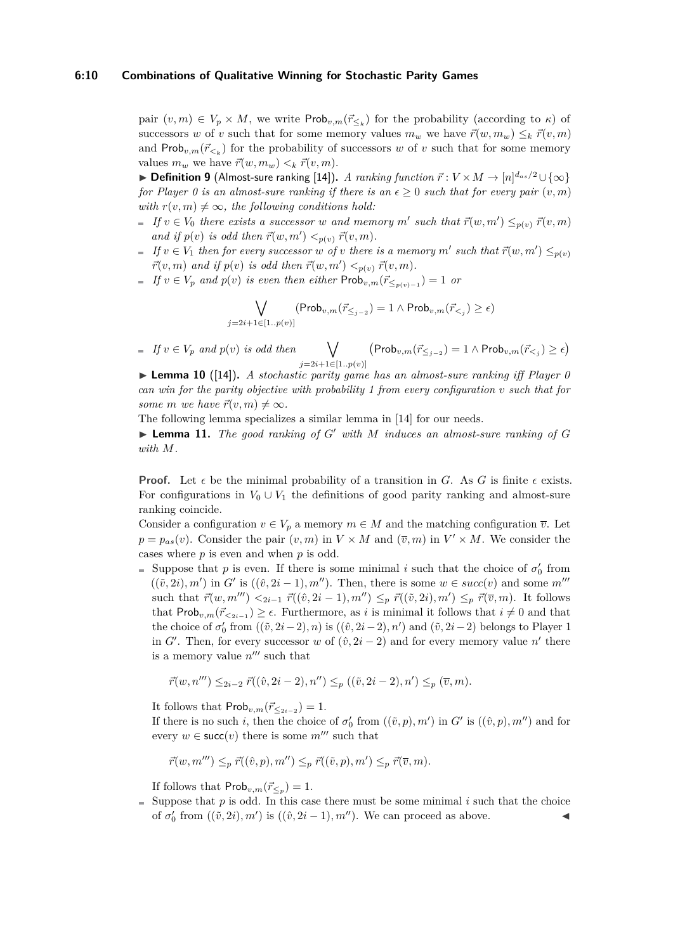#### **6:10 Combinations of Qualitative Winning for Stochastic Parity Games**

pair  $(v, m) \in V_p \times M$ , we write  $\mathsf{Prob}_{v,m}(\vec{r}_{\leq k})$  for the probability (according to  $\kappa$ ) of successors *w* of *v* such that for some memory values  $m_w$  we have  $\vec{r}(w, m_w) \leq_k \vec{r}(v, m)$ and  $\mathsf{Prob}_{v,m}(\vec{r}_{\leq k})$  for the probability of successors *w* of *v* such that for some memory values  $m_w$  we have  $\vec{r}(w, m_w) \leq k \vec{r}(v, m)$ .

▶ **Definition 9** (Almost-sure ranking [\[14\]](#page-15-8)). *A ranking function*  $\vec{r}$  :  $V \times M \rightarrow [n]^{d_{as}/2} \cup \{\infty\}$ *for Player 0 is an almost-sure ranking if there is an*  $\epsilon > 0$  *such that for every pair*  $(v, m)$ *with*  $r(v, m) \neq \infty$ *, the following conditions hold:* 

- *If*  $v \in V_0$  *there exists a successor w and memory*  $m'$  *such that*  $\vec{r}(w, m') \leq_{p(v)} \vec{r}(v, m)$ *and if*  $p(v)$  *is odd then*  $\vec{r}(w, m') < p(v)$ ,  $\vec{r}(v, m)$ .
- *If*  $v \in V_1$  *then for every successor w of v there is a memory m' such that*  $\vec{r}(w, m') \leq_{p(v)}$  $\vec{r}(v, m)$  and if  $p(v)$  is odd then  $\vec{r}(w, m') <_{p(v)} \vec{r}(v, m)$ .
- *If*  $v \in V_p$  *and*  $p(v)$  *is even then either* Prob<sub>*v,m*</sub>( $\vec{r}_{\leq p(v)-1}$ ) = 1 *or*

$$
\bigvee_{j=2i+1\in[1..p(v)]} (\mathsf{Prob}_{v,m}(\vec{r}_{\leq j-2})=1 \wedge \mathsf{Prob}_{v,m}(\vec{r}_{
$$

 $\blacksquare$  *If*  $v \in V_p$  *and*  $p(v)$  *is odd then j*=2*i*+1∈[1*..p*(*v*)]  $\left(\mathsf{Prob}_{v,m}(\vec{r}_{\leq j-2})=1 \wedge \mathsf{Prob}_{v,m}(\vec{r}_{< j})\geq \epsilon\right)$ 

▶ **Lemma 10** ([\[14\]](#page-15-8)). *A stochastic parity game has an almost-sure ranking iff Player 0 can win for the parity objective with probability 1 from every configuration v such that for some m we have*  $\vec{r}(v, m) \neq \infty$ *.* 

The following lemma specializes a similar lemma in [\[14\]](#page-15-8) for our needs.

 $\blacktriangleright$  **Lemma 11.** The good ranking of G' with M induces an almost-sure ranking of G *with M.*

**Proof.** Let  $\epsilon$  be the minimal probability of a transition in *G*. As *G* is finite  $\epsilon$  exists. For configurations in  $V_0 \cup V_1$  the definitions of good parity ranking and almost-sure ranking coincide.

Consider a configuration  $v \in V_p$  a memory  $m \in M$  and the matching configuration  $\overline{v}$ . Let  $p = p_{as}(v)$ . Consider the pair  $(v, m)$  in  $V \times M$  and  $(\overline{v}, m)$  in  $V' \times M$ . We consider the cases where *p* is even and when *p* is odd.

Suppose that *p* is even. If there is some minimal *i* such that the choice of  $\sigma'_{0}$  from  $((\tilde{v}, 2i), m')$  in *G*<sup> $\prime$ </sup> is  $((\hat{v}, 2i - 1), m'')$ . Then, there is some  $w \in succ(v)$  and some  $m''$ such that  $\vec{r}(w, m''') \leq_{2i-1} \vec{r}((\hat{v}, 2i-1), m'') \leq_p \vec{r}((\tilde{v}, 2i), m') \leq_p \vec{r}(\overline{v}, m)$ . It follows that  $\mathsf{Prob}_{v,m}(\vec{r}_{\leq 2i-1}) \geq \epsilon$ . Furthermore, as *i* is minimal it follows that  $i \neq 0$  and that the choice of  $\sigma'_0$  from  $((\tilde{v}, 2i-2), n)$  is  $((\hat{v}, 2i-2), n')$  and  $(\tilde{v}, 2i-2)$  belongs to Player 1 in *G*<sup> $\prime$ </sup>. Then, for every successor *w* of  $(\hat{v}, 2i - 2)$  and for every memory value *n*<sup> $\prime$ </sup> there is a memory value  $n^{\prime\prime\prime}$  such that

$$
\vec{r}(w, n''') \leq_{2i-2} \vec{r}((\hat{v}, 2i-2), n'') \leq_p ((\tilde{v}, 2i-2), n') \leq_p (\overline{v}, m).
$$

It follows that  $\mathsf{Prob}_{v,m}(\vec{r}_{\leq 2i-2}) = 1.$ 

If there is no such *i*, then the choice of  $\sigma'_{0}$  from  $((\tilde{v}, p), m')$  in  $G'$  is  $((\hat{v}, p), m'')$  and for every  $w \in \text{succ}(v)$  there is some  $m^{\prime\prime\prime}$  such that

$$
\vec{r}(w, m''') \leq_p \vec{r}((\hat{v}, p), m'') \leq_p \vec{r}((\tilde{v}, p), m') \leq_p \vec{r}(\overline{v}, m).
$$

If follows that  $\mathsf{Prob}_{v,m}(\vec{r}_{\leq p}) = 1.$ 

 $\equiv$  Suppose that p is odd. In this case there must be some minimal i such that the choice of  $\sigma'_0$  from  $((\tilde{v}, 2i), m')$  is  $((\hat{v}, 2i - 1), m'')$ . We can proceed as above.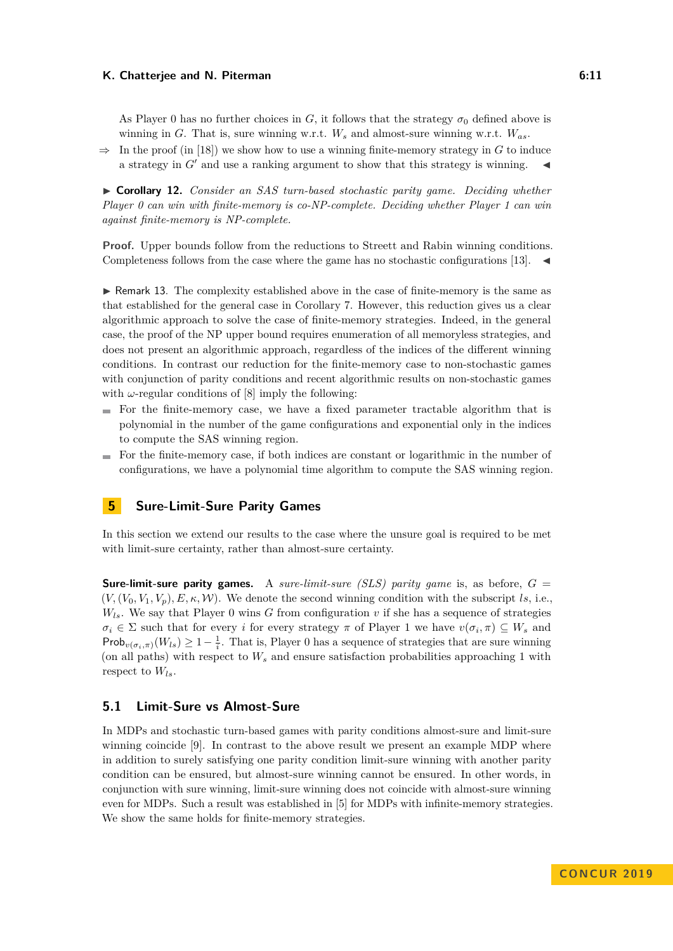As Player 0 has no further choices in  $G$ , it follows that the strategy  $\sigma_0$  defined above is winning in *G*. That is, sure winning w.r.t. *W<sup>s</sup>* and almost-sure winning w.r.t. *Was*.

 $\Rightarrow$  In the proof (in [\[18\]](#page-15-0)) we show how to use a winning finite-memory strategy in *G* to induce a strategy in  $G'$  and use a ranking argument to show that this strategy is winning.

▶ **Corollary 12.** *Consider an SAS turn-based stochastic parity game. Deciding whether Player 0 can win with finite-memory is co-NP-complete. Deciding whether Player 1 can win against finite-memory is NP-complete.*

**Proof.** Upper bounds follow from the reductions to Streett and Rabin winning conditions. Completeness follows from the case where the game has no stochastic configurations [\[13\]](#page-14-11).  $\blacktriangleleft$ 

 $\triangleright$  Remark 13. The complexity established above in the case of finite-memory is the same as that established for the general case in Corollary [7.](#page-6-3) However, this reduction gives us a clear algorithmic approach to solve the case of finite-memory strategies. Indeed, in the general case, the proof of the NP upper bound requires enumeration of all memoryless strategies, and does not present an algorithmic approach, regardless of the indices of the different winning conditions. In contrast our reduction for the finite-memory case to non-stochastic games with conjunction of parity conditions and recent algorithmic results on non-stochastic games with  $\omega$ -regular conditions of [\[8\]](#page-14-10) imply the following:

- $\blacksquare$  For the finite-memory case, we have a fixed parameter tractable algorithm that is polynomial in the number of the game configurations and exponential only in the indices to compute the SAS winning region.
- For the finite-memory case, if both indices are constant or logarithmic in the number of  $\sim$ configurations, we have a polynomial time algorithm to compute the SAS winning region.

## **5 Sure-Limit-Sure Parity Games**

In this section we extend our results to the case where the unsure goal is required to be met with limit-sure certainty, rather than almost-sure certainty.

**Sure-limit-sure parity games.** A *sure-limit-sure (SLS) parity game* is, as before,  $G =$  $(V, (V_0, V_1, V_p), E, \kappa, \mathcal{W})$ . We denote the second winning condition with the subscript *ls*, i.e.,  $W_{ls}$ . We say that Player 0 wins *G* from configuration *v* if she has a sequence of strategies  $\sigma_i \in \Sigma$  such that for every *i* for every strategy *π* of Player 1 we have  $v(\sigma_i, \pi) \subseteq W_s$  and Prob<sub>*v*( $\sigma_i$ , $\pi$ )</sub>( $W_{ls}$ ) ≥ 1 –  $\frac{1}{i}$ . That is, Player 0 has a sequence of strategies that are sure winning (on all paths) with respect to *W<sup>s</sup>* and ensure satisfaction probabilities approaching 1 with respect to *Wls*.

### **5.1 Limit-Sure vs Almost-Sure**

In MDPs and stochastic turn-based games with parity conditions almost-sure and limit-sure winning coincide [\[9\]](#page-14-2). In contrast to the above result we present an example MDP where in addition to surely satisfying one parity condition limit-sure winning with another parity condition can be ensured, but almost-sure winning cannot be ensured. In other words, in conjunction with sure winning, limit-sure winning does not coincide with almost-sure winning even for MDPs. Such a result was established in [\[5\]](#page-14-1) for MDPs with infinite-memory strategies. We show the same holds for finite-memory strategies.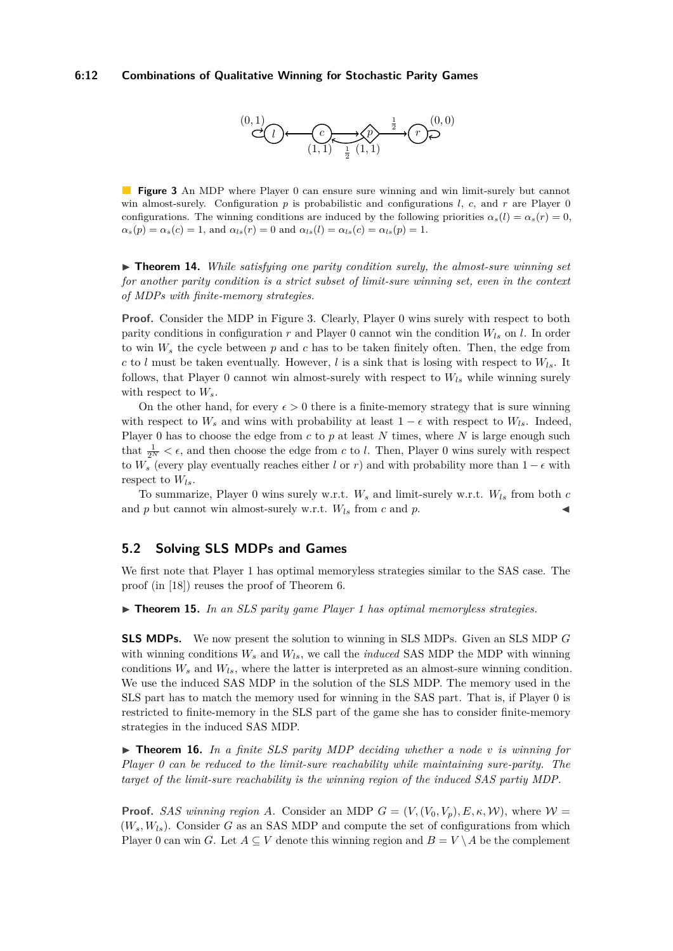#### <span id="page-11-0"></span>**6:12 Combinations of Qualitative Winning for Stochastic Parity Games**



**Figure 3** An MDP where Player 0 can ensure sure winning and win limit-surely but cannot win almost-surely. Configuration  $p$  is probabilistic and configurations  $l$ ,  $c$ , and  $r$  are Player 0 configurations. The winning conditions are induced by the following priorities  $\alpha_s(l) = \alpha_s(r) = 0$ ,  $\alpha_s(p) = \alpha_s(c) = 1$ , and  $\alpha_{ls}(r) = 0$  and  $\alpha_{ls}(l) = \alpha_{ls}(c) = \alpha_{ls}(p) = 1$ .

▶ **Theorem 14.** *While satisfying one parity condition surely, the almost-sure winning set for another parity condition is a strict subset of limit-sure winning set, even in the context of MDPs with finite-memory strategies.*

**Proof.** Consider the MDP in Figure [3.](#page-11-0) Clearly, Player 0 wins surely with respect to both parity conditions in configuration *r* and Player 0 cannot win the condition *Wls* on *l*. In order to win  $W_s$  the cycle between  $p$  and  $c$  has to be taken finitely often. Then, the edge from *c* to *l* must be taken eventually. However, *l* is a sink that is losing with respect to  $W_{ls}$ . It follows, that Player 0 cannot win almost-surely with respect to  $W_{ls}$  while winning surely with respect to *Ws*.

On the other hand, for every  $\epsilon > 0$  there is a finite-memory strategy that is sure winning with respect to  $W_s$  and wins with probability at least  $1 - \epsilon$  with respect to  $W_{ls}$ . Indeed, Player 0 has to choose the edge from *c* to *p* at least *N* times, where *N* is large enough such that  $\frac{1}{2^N} < \epsilon$ , and then choose the edge from *c* to *l*. Then, Player 0 wins surely with respect to  $W_s$  (every play eventually reaches either *l* or *r*) and with probability more than  $1 - \epsilon$  with respect to *Wls*.

To summarize, Player 0 wins surely w.r.t.  $W_s$  and limit-surely w.r.t.  $W_{ls}$  from both  $c$ and *p* but cannot win almost-surely w.r.t.  $W_{ls}$  from *c* and *p*.

## **5.2 Solving SLS MDPs and Games**

We first note that Player 1 has optimal memoryless strategies similar to the SAS case. The proof (in [\[18\]](#page-15-0)) reuses the proof of Theorem [6.](#page-6-4)

<span id="page-11-1"></span> $\triangleright$  **Theorem 15.** In an SLS parity game Player 1 has optimal memoryless strategies.

**SLS MDPs.** We now present the solution to winning in SLS MDPs. Given an SLS MDP *G* with winning conditions  $W_s$  and  $W_{ls}$ , we call the *induced* SAS MDP the MDP with winning conditions *W<sup>s</sup>* and *Wls*, where the latter is interpreted as an almost-sure winning condition. We use the induced SAS MDP in the solution of the SLS MDP. The memory used in the SLS part has to match the memory used for winning in the SAS part. That is, if Player 0 is restricted to finite-memory in the SLS part of the game she has to consider finite-memory strategies in the induced SAS MDP.

 $\triangleright$  **Theorem 16.** In a finite SLS parity MDP deciding whether a node v is winning for *Player 0 can be reduced to the limit-sure reachability while maintaining sure-parity. The target of the limit-sure reachability is the winning region of the induced SAS partiy MDP.*

**Proof.** *SAS winning region A.* Consider an MDP  $G = (V, (V_0, V_p), E, \kappa, \mathcal{W})$ , where  $\mathcal{W} =$  $(W_s, W_{ls})$ . Consider G as an SAS MDP and compute the set of configurations from which Player 0 can win *G*. Let  $A \subseteq V$  denote this winning region and  $B = V \setminus A$  be the complement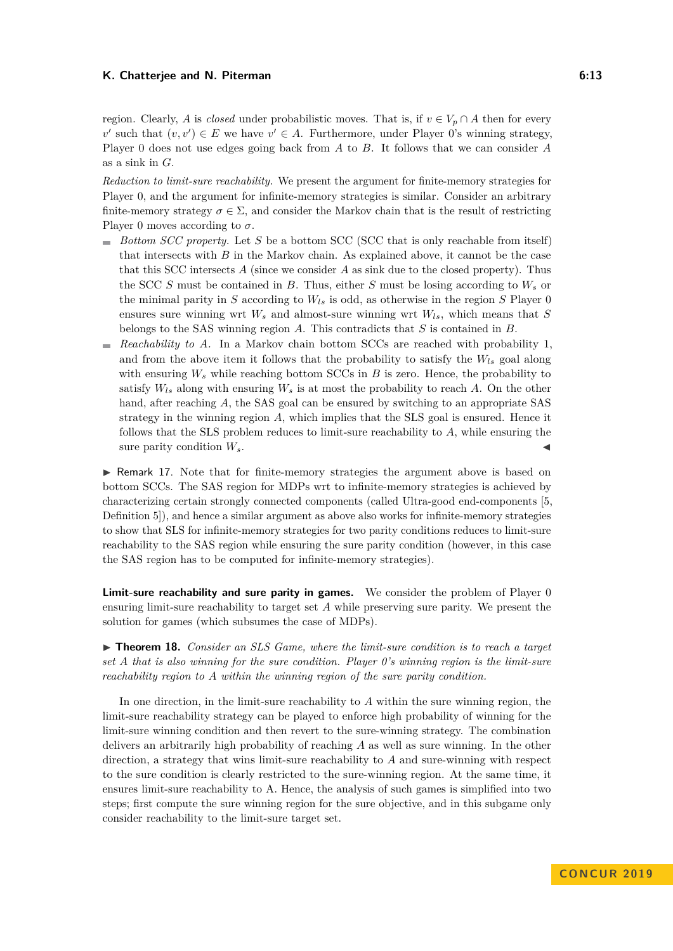region. Clearly, *A* is *closed* under probabilistic moves. That is, if  $v \in V_p \cap A$  then for every  $v'$  such that  $(v, v') \in E$  we have  $v' \in A$ . Furthermore, under Player 0's winning strategy, Player 0 does not use edges going back from *A* to *B*. It follows that we can consider *A* as a sink in *G*.

*Reduction to limit-sure reachability.* We present the argument for finite-memory strategies for Player 0, and the argument for infinite-memory strategies is similar. Consider an arbitrary finite-memory strategy  $\sigma \in \Sigma$ , and consider the Markov chain that is the result of restricting Player 0 moves according to  $\sigma$ .

- *Bottom SCC property.* Let *S* be a bottom SCC (SCC that is only reachable from itself) that intersects with *B* in the Markov chain. As explained above, it cannot be the case that this SCC intersects  $A$  (since we consider  $A$  as sink due to the closed property). Thus the SCC *S* must be contained in *B*. Thus, either *S* must be losing according to *W<sup>s</sup>* or the minimal parity in *S* according to  $W_{ls}$  is odd, as otherwise in the region *S* Player 0 ensures sure winning wrt *W<sup>s</sup>* and almost-sure winning wrt *Wls*, which means that *S* belongs to the SAS winning region *A*. This contradicts that *S* is contained in *B*.
- *Reachability to A.* In a Markov chain bottom SCCs are reached with probability 1, ÷. and from the above item it follows that the probability to satisfy the *Wls* goal along with ensuring  $W_s$  while reaching bottom SCCs in  $B$  is zero. Hence, the probability to satisfy  $W_{ls}$  along with ensuring  $W_s$  is at most the probability to reach  $A$ . On the other hand, after reaching A, the SAS goal can be ensured by switching to an appropriate SAS strategy in the winning region *A*, which implies that the SLS goal is ensured. Hence it follows that the SLS problem reduces to limit-sure reachability to *A*, while ensuring the sure parity condition  $W_s$ .

 $\triangleright$  Remark 17. Note that for finite-memory strategies the argument above is based on bottom SCCs. The SAS region for MDPs wrt to infinite-memory strategies is achieved by characterizing certain strongly connected components (called Ultra-good end-components [\[5,](#page-14-1) Definition 5]), and hence a similar argument as above also works for infinite-memory strategies to show that SLS for infinite-memory strategies for two parity conditions reduces to limit-sure reachability to the SAS region while ensuring the sure parity condition (however, in this case the SAS region has to be computed for infinite-memory strategies).

**Limit-sure reachability and sure parity in games.** We consider the problem of Player 0 ensuring limit-sure reachability to target set *A* while preserving sure parity. We present the solution for games (which subsumes the case of MDPs).

▶ **Theorem 18.** *Consider an SLS Game, where the limit-sure condition is to reach a target set A that is also winning for the sure condition. Player 0's winning region is the limit-sure reachability region to A within the winning region of the sure parity condition.*

In one direction, in the limit-sure reachability to *A* within the sure winning region, the limit-sure reachability strategy can be played to enforce high probability of winning for the limit-sure winning condition and then revert to the sure-winning strategy. The combination delivers an arbitrarily high probability of reaching *A* as well as sure winning. In the other direction, a strategy that wins limit-sure reachability to *A* and sure-winning with respect to the sure condition is clearly restricted to the sure-winning region. At the same time, it ensures limit-sure reachability to A. Hence, the analysis of such games is simplified into two steps; first compute the sure winning region for the sure objective, and in this subgame only consider reachability to the limit-sure target set.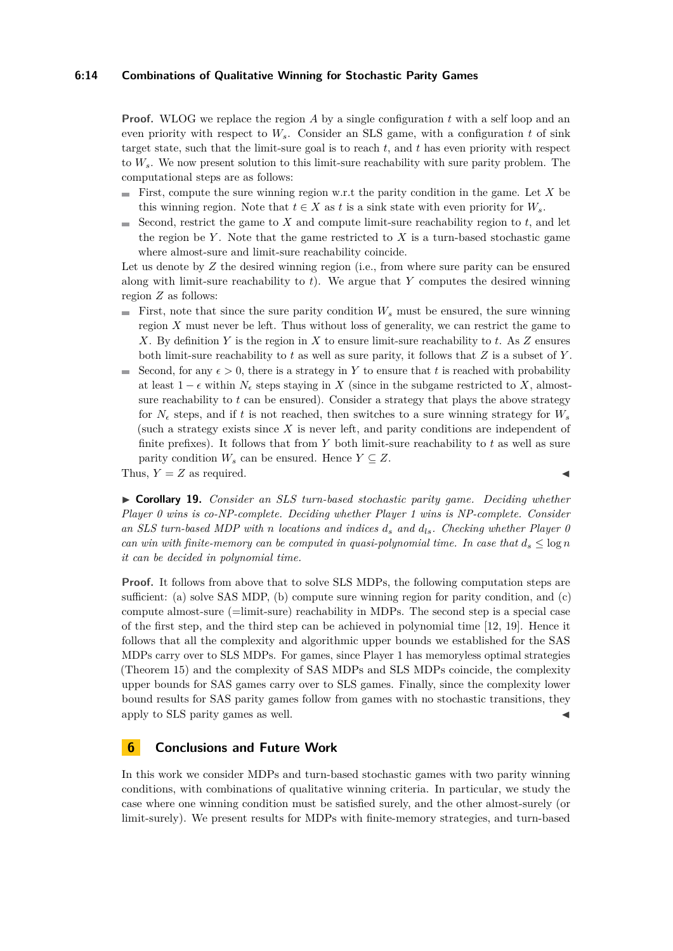#### **6:14 Combinations of Qualitative Winning for Stochastic Parity Games**

**Proof.** WLOG we replace the region A by a single configuration t with a self loop and an even priority with respect to  $W_s$ . Consider an SLS game, with a configuration  $t$  of sink target state, such that the limit-sure goal is to reach *t*, and *t* has even priority with respect to *Ws*. We now present solution to this limit-sure reachability with sure parity problem. The computational steps are as follows:

- First, compute the sure winning region w.r.t the parity condition in the game. Let  $X$  be this winning region. Note that  $t \in X$  as *t* is a sink state with even priority for  $W_s$ .
- $\blacksquare$  Second, restrict the game to *X* and compute limit-sure reachability region to *t*, and let the region be  $Y$ . Note that the game restricted to  $X$  is a turn-based stochastic game where almost-sure and limit-sure reachability coincide.

Let us denote by Z the desired winning region (i.e., from where sure parity can be ensured along with limit-sure reachability to *t*). We argue that *Y* computes the desired winning region *Z* as follows:

- First, note that since the sure parity condition  $W_s$  must be ensured, the sure winning region *X* must never be left. Thus without loss of generality, we can restrict the game to *X*. By definition *Y* is the region in *X* to ensure limit-sure reachability to *t*. As *Z* ensures both limit-sure reachability to *t* as well as sure parity, it follows that *Z* is a subset of *Y* .
- Second, for any  $\epsilon > 0$ , there is a strategy in Y to ensure that t is reached with probability m. at least  $1 - \epsilon$  within  $N_{\epsilon}$  steps staying in *X* (since in the subgame restricted to *X*, almostsure reachability to  $t$  can be ensured). Consider a strategy that plays the above strategy for  $N_e$  steps, and if t is not reached, then switches to a sure winning strategy for  $W_s$ (such a strategy exists since *X* is never left, and parity conditions are independent of finite prefixes). It follows that from *Y* both limit-sure reachability to *t* as well as sure parity condition  $W_s$  can be ensured. Hence  $Y \subseteq Z$ .

Thus,  $Y = Z$  as required.

► **Corollary 19.** *Consider an SLS turn-based stochastic parity game. Deciding whether Player 0 wins is co-NP-complete. Deciding whether Player 1 wins is NP-complete. Consider an SLS turn-based MDP with n locations and indices d<sup>s</sup> and dls. Checking whether Player 0 can win with finite-memory can be computed in quasi-polynomial time. In case that*  $d_s \leq \log n$ *it can be decided in polynomial time.*

**Proof.** It follows from above that to solve SLS MDPs, the following computation steps are sufficient: (a) solve SAS MDP, (b) compute sure winning region for parity condition, and (c) compute almost-sure (=limit-sure) reachability in MDPs. The second step is a special case of the first step, and the third step can be achieved in polynomial time [\[12,](#page-14-12) [19\]](#page-15-20). Hence it follows that all the complexity and algorithmic upper bounds we established for the SAS MDPs carry over to SLS MDPs. For games, since Player 1 has memoryless optimal strategies (Theorem [15\)](#page-11-1) and the complexity of SAS MDPs and SLS MDPs coincide, the complexity upper bounds for SAS games carry over to SLS games. Finally, since the complexity lower bound results for SAS parity games follow from games with no stochastic transitions, they apply to SLS parity games as well.

## **6 Conclusions and Future Work**

In this work we consider MDPs and turn-based stochastic games with two parity winning conditions, with combinations of qualitative winning criteria. In particular, we study the case where one winning condition must be satisfied surely, and the other almost-surely (or limit-surely). We present results for MDPs with finite-memory strategies, and turn-based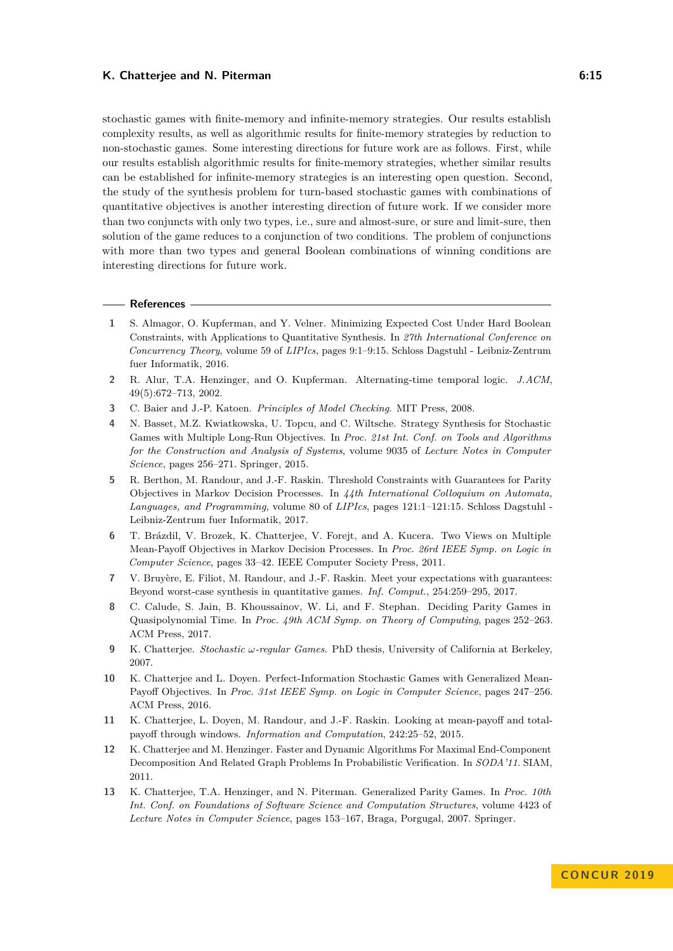stochastic games with finite-memory and infinite-memory strategies. Our results establish complexity results, as well as algorithmic results for finite-memory strategies by reduction to non-stochastic games. Some interesting directions for future work are as follows. First, while our results establish algorithmic results for finite-memory strategies, whether similar results can be established for infinite-memory strategies is an interesting open question. Second, the study of the synthesis problem for turn-based stochastic games with combinations of quantitative objectives is another interesting direction of future work. If we consider more than two conjuncts with only two types, i.e., sure and almost-sure, or sure and limit-sure, then solution of the game reduces to a conjunction of two conditions. The problem of conjunctions with more than two types and general Boolean combinations of winning conditions are interesting directions for future work.

#### **References**

- <span id="page-14-4"></span>**1** S. Almagor, O. Kupferman, and Y. Velner. Minimizing Expected Cost Under Hard Boolean Constraints, with Applications to Quantitative Synthesis. In *27th International Conference on Concurrency Theory*, volume 59 of *LIPIcs*, pages 9:1–9:15. Schloss Dagstuhl - Leibniz-Zentrum fuer Informatik, 2016.
- <span id="page-14-0"></span>**2** R. Alur, T.A. Henzinger, and O. Kupferman. Alternating-time temporal logic. *J.ACM*, 49(5):672–713, 2002.
- <span id="page-14-5"></span>**3** C. Baier and J.-P. Katoen. *Principles of Model Checking*. MIT Press, 2008.
- <span id="page-14-8"></span>**4** N. Basset, M.Z. Kwiatkowska, U. Topcu, and C. Wiltsche. Strategy Synthesis for Stochastic Games with Multiple Long-Run Objectives. In *Proc. 21st Int. Conf. on Tools and Algorithms for the Construction and Analysis of Systems*, volume 9035 of *Lecture Notes in Computer Science*, pages 256–271. Springer, 2015.
- <span id="page-14-1"></span>**5** R. Berthon, M. Randour, and J.-F. Raskin. Threshold Constraints with Guarantees for Parity Objectives in Markov Decision Processes. In *44th International Colloquium on Automata, Languages, and Programming*, volume 80 of *LIPIcs*, pages 121:1–121:15. Schloss Dagstuhl - Leibniz-Zentrum fuer Informatik, 2017.
- <span id="page-14-6"></span>**6** T. Brázdil, V. Brozek, K. Chatterjee, V. Forejt, and A. Kucera. Two Views on Multiple Mean-Payoff Objectives in Markov Decision Processes. In *Proc. 26rd IEEE Symp. on Logic in Computer Science*, pages 33–42. IEEE Computer Society Press, 2011.
- <span id="page-14-3"></span>**7** V. Bruyère, E. Filiot, M. Randour, and J.-F. Raskin. Meet your expectations with guarantees: Beyond worst-case synthesis in quantitative games. *Inf. Comput.*, 254:259–295, 2017.
- <span id="page-14-10"></span>**8** C. Calude, S. Jain, B. Khoussainov, W. Li, and F. Stephan. Deciding Parity Games in Quasipolynomial Time. In *Proc. 49th ACM Symp. on Theory of Computing*, pages 252–263. ACM Press, 2017.
- <span id="page-14-2"></span>**9** K. Chatterjee. *Stochastic ω-regular Games*. PhD thesis, University of California at Berkeley, 2007.
- <span id="page-14-9"></span>**10** K. Chatterjee and L. Doyen. Perfect-Information Stochastic Games with Generalized Mean-Payoff Objectives. In *Proc. 31st IEEE Symp. on Logic in Computer Science*, pages 247–256. ACM Press, 2016.
- <span id="page-14-7"></span>**11** K. Chatterjee, L. Doyen, M. Randour, and J.-F. Raskin. Looking at mean-payoff and totalpayoff through windows. *Information and Computation*, 242:25–52, 2015.
- <span id="page-14-12"></span>**12** K. Chatterjee and M. Henzinger. Faster and Dynamic Algorithms For Maximal End-Component Decomposition And Related Graph Problems In Probabilistic Verification. In *SODA'11*. SIAM, 2011.
- <span id="page-14-11"></span>**13** K. Chatterjee, T.A. Henzinger, and N. Piterman. Generalized Parity Games. In *Proc. 10th Int. Conf. on Foundations of Software Science and Computation Structures*, volume 4423 of *Lecture Notes in Computer Science*, pages 153–167, Braga, Porgugal, 2007. Springer.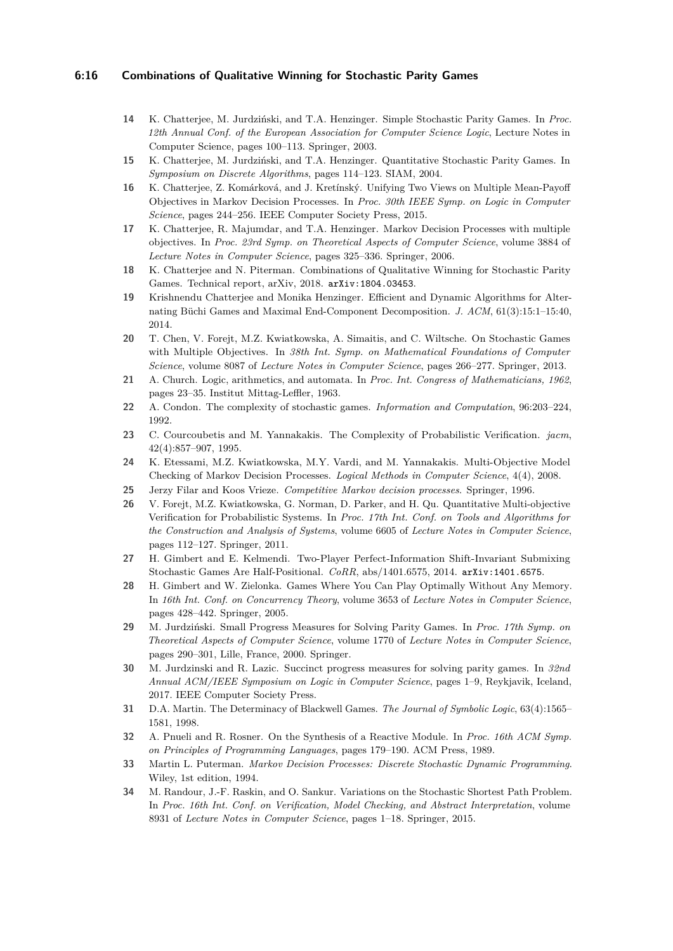#### **6:16 Combinations of Qualitative Winning for Stochastic Parity Games**

- <span id="page-15-8"></span>**14** K. Chatterjee, M. Jurdziński, and T.A. Henzinger. Simple Stochastic Parity Games. In *Proc. 12th Annual Conf. of the European Association for Computer Science Logic*, Lecture Notes in Computer Science, pages 100–113. Springer, 2003.
- <span id="page-15-9"></span>**15** K. Chatterjee, M. Jurdziński, and T.A. Henzinger. Quantitative Stochastic Parity Games. In *Symposium on Discrete Algorithms*, pages 114–123. SIAM, 2004.
- <span id="page-15-12"></span>**16** K. Chatterjee, Z. Komárková, and J. Kretínský. Unifying Two Views on Multiple Mean-Payoff Objectives in Markov Decision Processes. In *Proc. 30th IEEE Symp. on Logic in Computer Science*, pages 244–256. IEEE Computer Society Press, 2015.
- <span id="page-15-10"></span>**17** K. Chatterjee, R. Majumdar, and T.A. Henzinger. Markov Decision Processes with multiple objectives. In *Proc. 23rd Symp. on Theoretical Aspects of Computer Science*, volume 3884 of *Lecture Notes in Computer Science*, pages 325–336. Springer, 2006.
- <span id="page-15-0"></span>**18** K. Chatterjee and N. Piterman. Combinations of Qualitative Winning for Stochastic Parity Games. Technical report, arXiv, 2018. [arXiv:1804.03453](http://arxiv.org/abs/1804.03453).
- <span id="page-15-20"></span>**19** Krishnendu Chatterjee and Monika Henzinger. Efficient and Dynamic Algorithms for Alternating Büchi Games and Maximal End-Component Decomposition. *J. ACM*, 61(3):15:1–15:40, 2014.
- <span id="page-15-13"></span>**20** T. Chen, V. Forejt, M.Z. Kwiatkowska, A. Simaitis, and C. Wiltsche. On Stochastic Games with Multiple Objectives. In *38th Int. Symp. on Mathematical Foundations of Computer Science*, volume 8087 of *Lecture Notes in Computer Science*, pages 266–277. Springer, 2013.
- <span id="page-15-1"></span>**21** A. Church. Logic, arithmetics, and automata. In *Proc. Int. Congress of Mathematicians, 1962*, pages 23–35. Institut Mittag-Leffler, 1963.
- <span id="page-15-5"></span>**22** A. Condon. The complexity of stochastic games. *Information and Computation*, 96:203–224, 1992.
- <span id="page-15-6"></span>**23** C. Courcoubetis and M. Yannakakis. The Complexity of Probabilistic Verification. *jacm*, 42(4):857–907, 1995.
- <span id="page-15-7"></span>**24** K. Etessami, M.Z. Kwiatkowska, M.Y. Vardi, and M. Yannakakis. Multi-Objective Model Checking of Markov Decision Processes. *Logical Methods in Computer Science*, 4(4), 2008.
- <span id="page-15-3"></span>**25** Jerzy Filar and Koos Vrieze. *Competitive Markov decision processes*. Springer, 1996.
- <span id="page-15-11"></span>**26** V. Forejt, M.Z. Kwiatkowska, G. Norman, D. Parker, and H. Qu. Quantitative Multi-objective Verification for Probabilistic Systems. In *Proc. 17th Int. Conf. on Tools and Algorithms for the Construction and Analysis of Systems*, volume 6605 of *Lecture Notes in Computer Science*, pages 112–127. Springer, 2011.
- <span id="page-15-18"></span>**27** H. Gimbert and E. Kelmendi. Two-Player Perfect-Information Shift-Invariant Submixing Stochastic Games Are Half-Positional. *CoRR*, abs/1401.6575, 2014. [arXiv:1401.6575](http://arxiv.org/abs/1401.6575).
- <span id="page-15-17"></span>**28** H. Gimbert and W. Zielonka. Games Where You Can Play Optimally Without Any Memory. In *16th Int. Conf. on Concurrency Theory*, volume 3653 of *Lecture Notes in Computer Science*, pages 428–442. Springer, 2005.
- <span id="page-15-19"></span>**29** M. Jurdziński. Small Progress Measures for Solving Parity Games. In *Proc. 17th Symp. on Theoretical Aspects of Computer Science*, volume 1770 of *Lecture Notes in Computer Science*, pages 290–301, Lille, France, 2000. Springer.
- <span id="page-15-15"></span>**30** M. Jurdzinski and R. Lazic. Succinct progress measures for solving parity games. In *32nd Annual ACM/IEEE Symposium on Logic in Computer Science*, pages 1–9, Reykjavik, Iceland, 2017. IEEE Computer Society Press.
- <span id="page-15-16"></span>**31** D.A. Martin. The Determinacy of Blackwell Games. *The Journal of Symbolic Logic*, 63(4):1565– 1581, 1998.
- <span id="page-15-2"></span>**32** A. Pnueli and R. Rosner. On the Synthesis of a Reactive Module. In *Proc. 16th ACM Symp. on Principles of Programming Languages*, pages 179–190. ACM Press, 1989.
- <span id="page-15-4"></span>**33** Martin L. Puterman. *Markov Decision Processes: Discrete Stochastic Dynamic Programming*. Wiley, 1st edition, 1994.
- <span id="page-15-14"></span>**34** M. Randour, J.-F. Raskin, and O. Sankur. Variations on the Stochastic Shortest Path Problem. In *Proc. 16th Int. Conf. on Verification, Model Checking, and Abstract Interpretation*, volume 8931 of *Lecture Notes in Computer Science*, pages 1–18. Springer, 2015.